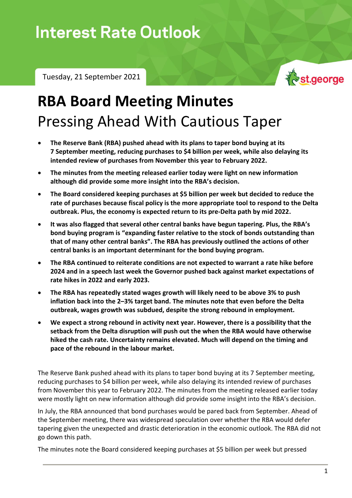## **Interest Rate Outlook**

Tuesday, 21 September 2021



## **RBA Board Meeting Minutes** Pressing Ahead With Cautious Taper

- **The Reserve Bank (RBA) pushed ahead with its plans to taper bond buying at its 7 September meeting, reducing purchases to \$4 billion per week, while also delaying its intended review of purchases from November this year to February 2022.**
- **The minutes from the meeting released earlier today were light on new information although did provide some more insight into the RBA's decision.**
- **The Board considered keeping purchases at \$5 billion per week but decided to reduce the rate of purchases because fiscal policy is the more appropriate tool to respond to the Delta outbreak. Plus, the economy is expected return to its pre-Delta path by mid 2022.**
- **It was also flagged that several other central banks have begun tapering. Plus, the RBA's bond buying program is "expanding faster relative to the stock of bonds outstanding than that of many other central banks". The RBA has previously outlined the actions of other central banks is an important determinant for the bond buying program.**
- **The RBA continued to reiterate conditions are not expected to warrant a rate hike before 2024 and in a speech last week the Governor pushed back against market expectations of rate hikes in 2022 and early 2023.**
- **The RBA has repeatedly stated wages growth will likely need to be above 3% to push inflation back into the 2–3% target band. The minutes note that even before the Delta outbreak, wages growth was subdued, despite the strong rebound in employment.**
- **We expect a strong rebound in activity next year. However, there is a possibility that the setback from the Delta disruption will push out the when the RBA would have otherwise hiked the cash rate. Uncertainty remains elevated. Much will depend on the timing and pace of the rebound in the labour market.**

The Reserve Bank pushed ahead with its plans to taper bond buying at its 7 September meeting, reducing purchases to \$4 billion per week, while also delaying its intended review of purchases from November this year to February 2022. The minutes from the meeting released earlier today were mostly light on new information although did provide some insight into the RBA's decision.

In July, the RBA announced that bond purchases would be pared back from September. Ahead of the September meeting, there was widespread speculation over whether the RBA would defer tapering given the unexpected and drastic deterioration in the economic outlook. The RBA did not go down this path.

The minutes note the Board considered keeping purchases at \$5 billion per week but pressed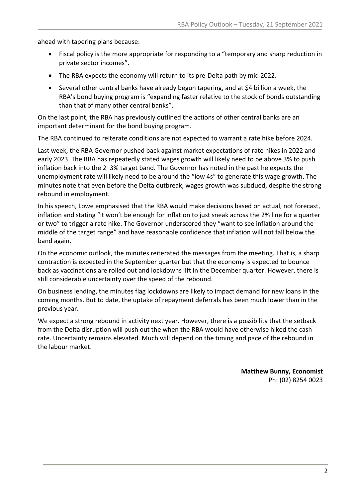ahead with tapering plans because:

- Fiscal policy is the more appropriate for responding to a "temporary and sharp reduction in private sector incomes".
- The RBA expects the economy will return to its pre-Delta path by mid 2022.
- Several other central banks have already begun tapering, and at \$4 billion a week, the RBA's bond buying program is "expanding faster relative to the stock of bonds outstanding than that of many other central banks".

On the last point, the RBA has previously outlined the actions of other central banks are an important determinant for the bond buying program.

The RBA continued to reiterate conditions are not expected to warrant a rate hike before 2024.

Last week, the RBA Governor pushed back against market expectations of rate hikes in 2022 and early 2023. The RBA has repeatedly stated wages growth will likely need to be above 3% to push inflation back into the 2–3% target band. The Governor has noted in the past he expects the unemployment rate will likely need to be around the "low 4s" to generate this wage growth. The minutes note that even before the Delta outbreak, wages growth was subdued, despite the strong rebound in employment.

In his speech, Lowe emphasised that the RBA would make decisions based on actual, not forecast, inflation and stating "it won't be enough for inflation to just sneak across the 2% line for a quarter or two" to trigger a rate hike. The Governor underscored they "want to see inflation around the middle of the target range" and have reasonable confidence that inflation will not fall below the band again.

On the economic outlook, the minutes reiterated the messages from the meeting. That is, a sharp contraction is expected in the September quarter but that the economy is expected to bounce back as vaccinations are rolled out and lockdowns lift in the December quarter. However, there is still considerable uncertainty over the speed of the rebound.

On business lending, the minutes flag lockdowns are likely to impact demand for new loans in the coming months. But to date, the uptake of repayment deferrals has been much lower than in the previous year.

We expect a strong rebound in activity next year. However, there is a possibility that the setback from the Delta disruption will push out the when the RBA would have otherwise hiked the cash rate. Uncertainty remains elevated. Much will depend on the timing and pace of the rebound in the labour market.

> **Matthew Bunny, Economist** Ph: (02) 8254 0023